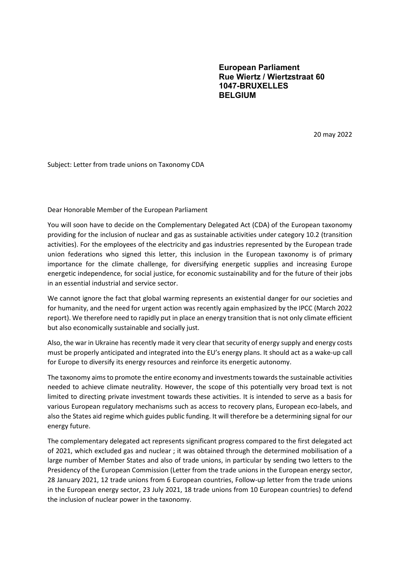European Parliament Rue Wiertz / Wiertzstraat 60 1047-BRUXELLES BELGIUM

20 may 2022

Subject: Letter from trade unions on Taxonomy CDA

Dear Honorable Member of the European Parliament

You will soon have to decide on the Complementary Delegated Act (CDA) of the European taxonomy providing for the inclusion of nuclear and gas as sustainable activities under category 10.2 (transition activities). For the employees of the electricity and gas industries represented by the European trade union federations who signed this letter, this inclusion in the European taxonomy is of primary importance for the climate challenge, for diversifying energetic supplies and increasing Europe energetic independence, for social justice, for economic sustainability and for the future of their jobs in an essential industrial and service sector.

We cannot ignore the fact that global warming represents an existential danger for our societies and for humanity, and the need for urgent action was recently again emphasized by the IPCC (March 2022 report). We therefore need to rapidly put in place an energy transition that is not only climate efficient but also economically sustainable and socially just.

Also, the war in Ukraine has recently made it very clear that security of energy supply and energy costs must be properly anticipated and integrated into the EU's energy plans. It should act as a wake-up call for Europe to diversify its energy resources and reinforce its energetic autonomy.

The taxonomy aims to promote the entire economy and investments towards the sustainable activities needed to achieve climate neutrality. However, the scope of this potentially very broad text is not limited to directing private investment towards these activities. It is intended to serve as a basis for various European regulatory mechanisms such as access to recovery plans, European eco-labels, and also the States aid regime which guides public funding. It will therefore be a determining signal for our energy future.

The complementary delegated act represents significant progress compared to the first delegated act of 2021, which excluded gas and nuclear ; it was obtained through the determined mobilisation of a large number of Member States and also of trade unions, in particular by sending two letters to the Presidency of the European Commission (Letter from the trade unions in the European energy sector, 28 January 2021, 12 trade unions from 6 European countries, Follow-up letter from the trade unions in the European energy sector, 23 July 2021, 18 trade unions from 10 European countries) to defend the inclusion of nuclear power in the taxonomy.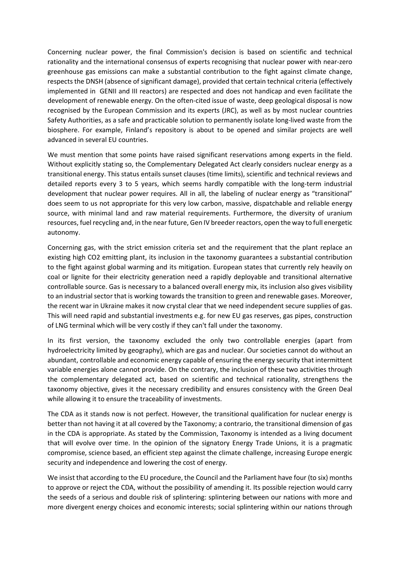Concerning nuclear power, the final Commission's decision is based on scientific and technical rationality and the international consensus of experts recognising that nuclear power with near-zero greenhouse gas emissions can make a substantial contribution to the fight against climate change, respects the DNSH (absence of significant damage), provided that certain technical criteria (effectively implemented in GENII and III reactors) are respected and does not handicap and even facilitate the development of renewable energy. On the often-cited issue of waste, deep geological disposal is now recognised by the European Commission and its experts (JRC), as well as by most nuclear countries Safety Authorities, as a safe and practicable solution to permanently isolate long-lived waste from the biosphere. For example, Finland's repository is about to be opened and similar projects are well advanced in several EU countries.

We must mention that some points have raised significant reservations among experts in the field. Without explicitly stating so, the Complementary Delegated Act clearly considers nuclear energy as a transitional energy. This status entails sunset clauses (time limits), scientific and technical reviews and detailed reports every 3 to 5 years, which seems hardly compatible with the long-term industrial development that nuclear power requires. All in all, the labeling of nuclear energy as "transitional" does seem to us not appropriate for this very low carbon, massive, dispatchable and reliable energy source, with minimal land and raw material requirements. Furthermore, the diversity of uranium resources, fuel recycling and, in the near future, Gen IV breeder reactors, open the way to full energetic autonomy.

Concerning gas, with the strict emission criteria set and the requirement that the plant replace an existing high CO2 emitting plant, its inclusion in the taxonomy guarantees a substantial contribution to the fight against global warming and its mitigation. European states that currently rely heavily on coal or lignite for their electricity generation need a rapidly deployable and transitional alternative controllable source. Gas is necessary to a balanced overall energy mix, its inclusion also gives visibility to an industrial sector that is working towards the transition to green and renewable gases. Moreover, the recent war in Ukraine makes it now crystal clear that we need independent secure supplies of gas. This will need rapid and substantial investments e.g. for new EU gas reserves, gas pipes, construction of LNG terminal which will be very costly if they can't fall under the taxonomy.

In its first version, the taxonomy excluded the only two controllable energies (apart from hydroelectricity limited by geography), which are gas and nuclear. Our societies cannot do without an abundant, controllable and economic energy capable of ensuring the energy security that intermittent variable energies alone cannot provide. On the contrary, the inclusion of these two activities through the complementary delegated act, based on scientific and technical rationality, strengthens the taxonomy objective, gives it the necessary credibility and ensures consistency with the Green Deal while allowing it to ensure the traceability of investments.

The CDA as it stands now is not perfect. However, the transitional qualification for nuclear energy is better than not having it at all covered by the Taxonomy; a contrario, the transitional dimension of gas in the CDA is appropriate. As stated by the Commission, Taxonomy is intended as a living document that will evolve over time. In the opinion of the signatory Energy Trade Unions, it is a pragmatic compromise, science based, an efficient step against the climate challenge, increasing Europe energic security and independence and lowering the cost of energy.

We insist that according to the EU procedure, the Council and the Parliament have four (to six) months to approve or reject the CDA, without the possibility of amending it. Its possible rejection would carry the seeds of a serious and double risk of splintering: splintering between our nations with more and more divergent energy choices and economic interests; social splintering within our nations through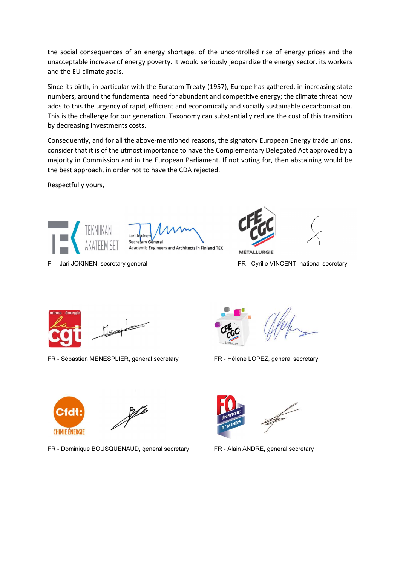the social consequences of an energy shortage, of the uncontrolled rise of energy prices and the unacceptable increase of energy poverty. It would seriously jeopardize the energy sector, its workers and the EU climate goals.

Since its birth, in particular with the Euratom Treaty (1957), Europe has gathered, in increasing state numbers, around the fundamental need for abundant and competitive energy; the climate threat now adds to this the urgency of rapid, efficient and economically and socially sustainable decarbonisation. This is the challenge for our generation. Taxonomy can substantially reduce the cost of this transition by decreasing investments costs.

Consequently, and for all the above-mentioned reasons, the signatory European Energy trade unions, consider that it is of the utmost importance to have the Complementary Delegated Act approved by a majority in Commission and in the European Parliament. If not voting for, then abstaining would be the best approach, in order not to have the CDA rejected.

Respectfully yours,



Secretary General

Academic Engineers and Architects in Finland TEK

FI – Jari JOKINEN, secretary general FR - Cyrille VINCENT, national secretary



FR - Sébastien MENESPLIER, general secretary FR - Hélène LOPEZ, general secretary



**MÉTALLURGIE** 





FR - Dominique BOUSQUENAUD, general secretary FR - Alain ANDRE, general secretary

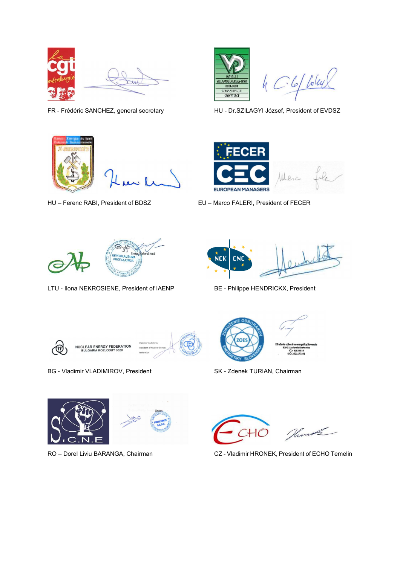







 $4C6f$  loley

FR - Frédéric SANCHEZ, general secretary HU - Dr.SZILAGYI József, President of EVDSZ



HU – Ferenc RABI, President of BDSZ EU – Marco FALERI, President of FECER



LTU - Ilona NEKROSIENE, President of IAENP BE - Philippe HENDRICKX, President





**NUCLEAR ENERGY FEDERATION<br>BULGARIA KOZLODUY 3320** 

BG - Vladimir VLADIMIROV, President SK - Zdenek TURIAN, Chairman









RO – Dorel Liviu BARANGA, Chairman CZ - Vladimir HRONEK, President of ECHO Temelin